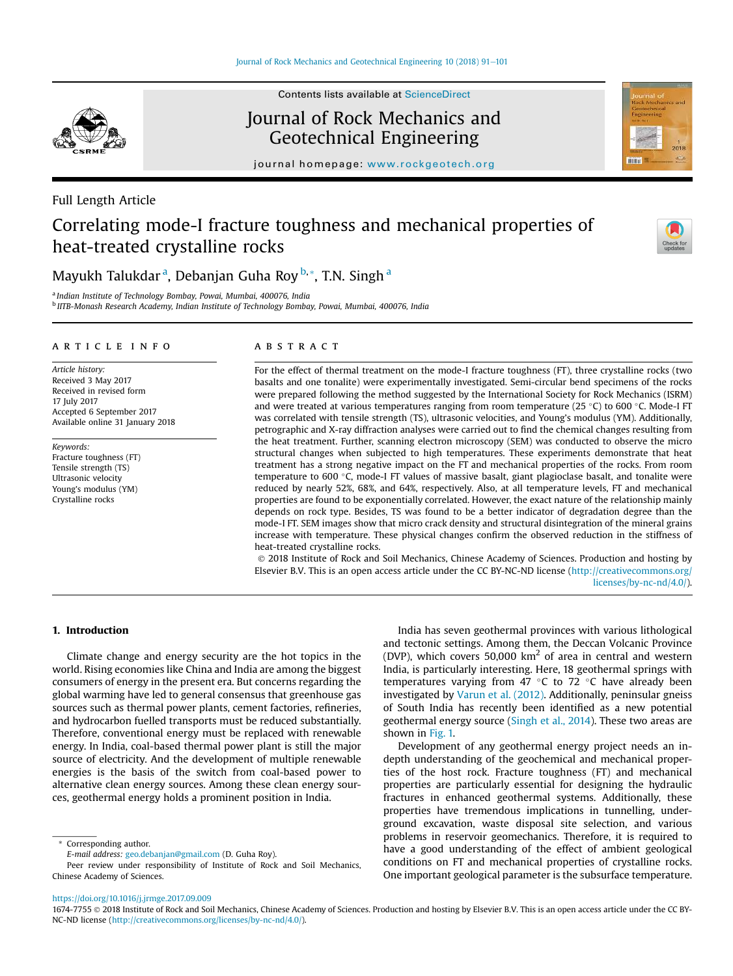

Contents lists available at ScienceDirect

## Journal of Rock Mechanics and Geotechnical Engineering

journal homepage: www.rockgeotech.org

## Full Length Article

# Correlating mode-I fracture toughness and mechanical properties of heat-treated crystalline rocks



Mayukh Talukdar <sup>a</sup>, Debanjan Guha Roy <sup>b,</sup> \*, T.N. Singh <sup>a</sup>

a *Indian Institute of Technology Bombay, Powai, Mumbai, 400076, India* b *IITB-Monash Research Academy, Indian Institute of Technology Bombay, Powai, Mumbai, 400076, India*

#### article info

*Article history:* Received 3 May 2017 Received in revised form 17 July 2017 Accepted 6 September 2017 Available online 31 January 2018

*Keywords:* Fracture toughness (FT) Tensile strength (TS) Ultrasonic velocity Young's modulus (YM) Crystalline rocks

## ABSTRACT

For the effect of thermal treatment on the mode-I fracture toughness (FT), three crystalline rocks (two basalts and one tonalite) were experimentally investigated. Semi-circular bend specimens of the rocks were prepared following the method suggested by the International Society for Rock Mechanics (ISRM) and were treated at various temperatures ranging from room temperature (25 °C) to 600 °C. Mode-I FT was correlated with tensile strength (TS), ultrasonic velocities, and Young's modulus (YM). Additionally, petrographic and X-ray diffraction analyses were carried out to find the chemical changes resulting from the heat treatment. Further, scanning electron microscopy (SEM) was conducted to observe the micro structural changes when subjected to high temperatures. These experiments demonstrate that heat treatment has a strong negative impact on the FT and mechanical properties of the rocks. From room temperature to 600 °C, mode-I FT values of massive basalt, giant plagioclase basalt, and tonalite were reduced by nearly 52%, 68%, and 64%, respectively. Also, at all temperature levels, FT and mechanical properties are found to be exponentially correlated. However, the exact nature of the relationship mainly depends on rock type. Besides, TS was found to be a better indicator of degradation degree than the mode-I FT. SEM images show that micro crack density and structural disintegration of the mineral grains increase with temperature. These physical changes confirm the observed reduction in the stiffness of heat-treated crystalline rocks.

 2018 Institute of Rock and Soil Mechanics, Chinese Academy of Sciences. Production and hosting by Elsevier B.V. This is an open access article under the CC BY-NC-ND license (http://creativecommons.org/ licenses/by-nc-nd/4.0/).

## 1. Introduction

Climate change and energy security are the hot topics in the world. Rising economies like China and India are among the biggest consumers of energy in the present era. But concerns regarding the global warming have led to general consensus that greenhouse gas sources such as thermal power plants, cement factories, refineries, and hydrocarbon fuelled transports must be reduced substantially. Therefore, conventional energy must be replaced with renewable energy. In India, coal-based thermal power plant is still the major source of electricity. And the development of multiple renewable energies is the basis of the switch from coal-based power to alternative clean energy sources. Among these clean energy sources, geothermal energy holds a prominent position in India.

India has seven geothermal provinces with various lithological and tectonic settings. Among them, the Deccan Volcanic Province (DVP), which covers 50,000  $km^2$  of area in central and western India, is particularly interesting. Here, 18 geothermal springs with temperatures varying from 47  $\degree$ C to 72  $\degree$ C have already been investigated by Varun et al. (2012). Additionally, peninsular gneiss of South India has recently been identified as a new potential geothermal energy source (Singh et al., 2014). These two areas are shown in Fig. 1.

Development of any geothermal energy project needs an indepth understanding of the geochemical and mechanical properties of the host rock. Fracture toughness (FT) and mechanical properties are particularly essential for designing the hydraulic fractures in enhanced geothermal systems. Additionally, these properties have tremendous implications in tunnelling, underground excavation, waste disposal site selection, and various problems in reservoir geomechanics. Therefore, it is required to have a good understanding of the effect of ambient geological conditions on FT and mechanical properties of crystalline rocks. One important geological parameter is the subsurface temperature.

https://doi.org/10.1016/j.jrmge.2017.09.009

Corresponding author.

*E-mail address:* geo.debanjan@gmail.com (D. Guha Roy).

Peer review under responsibility of Institute of Rock and Soil Mechanics, Chinese Academy of Sciences.

<sup>1674-7755</sup> 2018 Institute of Rock and Soil Mechanics, Chinese Academy of Sciences. Production and hosting by Elsevier B.V. This is an open access article under the CC BY-NC-ND license (http://creativecommons.org/licenses/by-nc-nd/4.0/).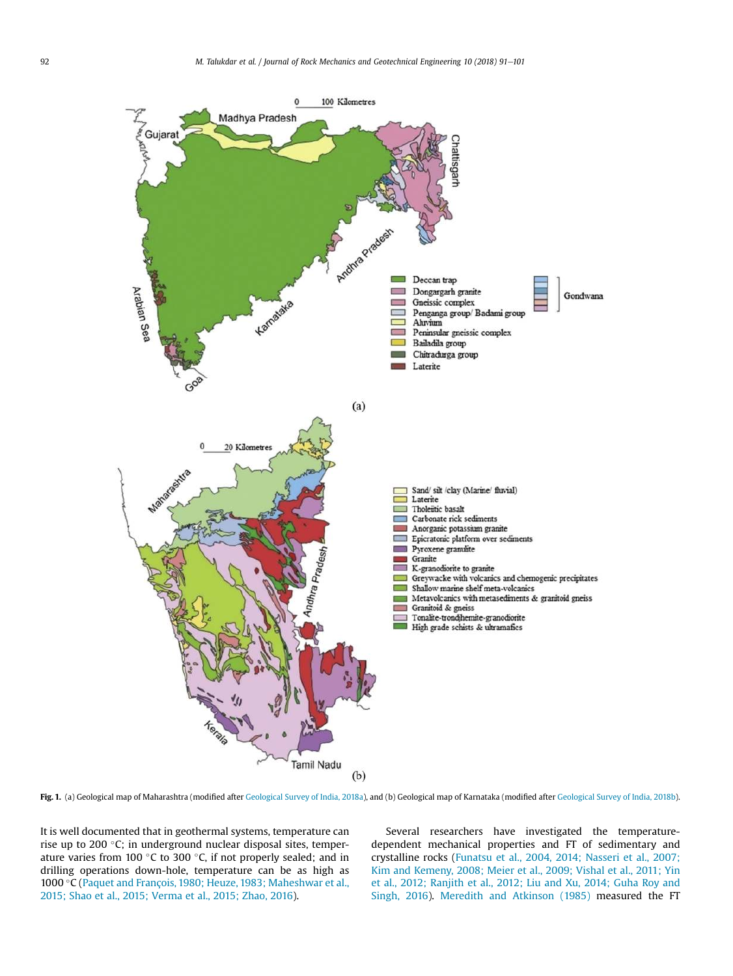

Fig. 1. (a) Geological map of Maharashtra (modified after Geological Survey of India, 2018a), and (b) Geological map of Karnataka (modified after Geological Survey of India, 2018b).

It is well documented that in geothermal systems, temperature can rise up to 200 °C; in underground nuclear disposal sites, temperature varies from 100  $\degree$ C to 300  $\degree$ C, if not properly sealed; and in drilling operations down-hole, temperature can be as high as 1000 °C (Paquet and François, 1980; Heuze, 1983; Maheshwar et al., 2015; Shao et al., 2015; Verma et al., 2015; Zhao, 2016).

Several researchers have investigated the temperaturedependent mechanical properties and FT of sedimentary and crystalline rocks (Funatsu et al., 2004, 2014; Nasseri et al., 2007; Kim and Kemeny, 2008; Meier et al., 2009; Vishal et al., 2011; Yin et al., 2012; Ranjith et al., 2012; Liu and Xu, 2014; Guha Roy and Singh, 2016). Meredith and Atkinson (1985) measured the FT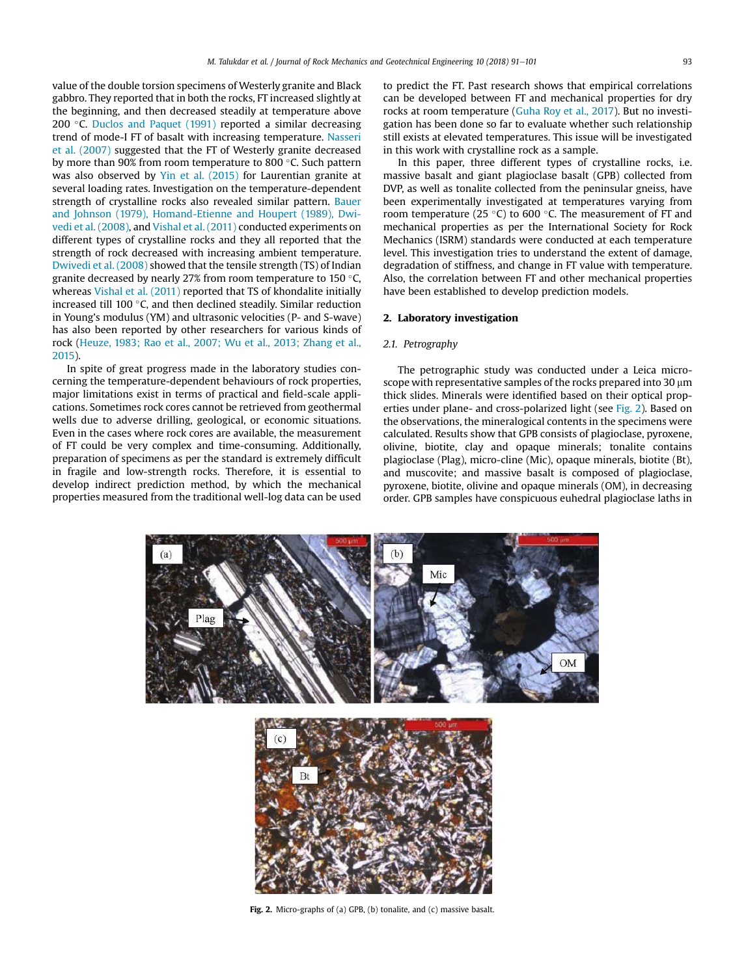value of the double torsion specimens of Westerly granite and Black gabbro. They reported that in both the rocks, FT increased slightly at the beginning, and then decreased steadily at temperature above 200 $\degree$ C. Duclos and Paquet (1991) reported a similar decreasing trend of mode-I FT of basalt with increasing temperature. Nasseri et al. (2007) suggested that the FT of Westerly granite decreased by more than 90% from room temperature to 800 °C. Such pattern was also observed by Yin et al. (2015) for Laurentian granite at several loading rates. Investigation on the temperature-dependent strength of crystalline rocks also revealed similar pattern. Bauer and Johnson (1979), Homand-Etienne and Houpert (1989), Dwivedi et al. (2008), and Vishal et al. (2011) conducted experiments on different types of crystalline rocks and they all reported that the strength of rock decreased with increasing ambient temperature. Dwivedi et al. (2008) showed that the tensile strength (TS) of Indian granite decreased by nearly 27% from room temperature to 150 $\degree$ C, whereas Vishal et al. (2011) reported that TS of khondalite initially increased till 100 $\degree$ C, and then declined steadily. Similar reduction in Young's modulus (YM) and ultrasonic velocities (P- and S-wave) has also been reported by other researchers for various kinds of rock (Heuze, 1983; Rao et al., 2007; Wu et al., 2013; Zhang et al., 2015).

In spite of great progress made in the laboratory studies concerning the temperature-dependent behaviours of rock properties, major limitations exist in terms of practical and field-scale applications. Sometimes rock cores cannot be retrieved from geothermal wells due to adverse drilling, geological, or economic situations. Even in the cases where rock cores are available, the measurement of FT could be very complex and time-consuming. Additionally, preparation of specimens as per the standard is extremely difficult in fragile and low-strength rocks. Therefore, it is essential to develop indirect prediction method, by which the mechanical properties measured from the traditional well-log data can be used to predict the FT. Past research shows that empirical correlations can be developed between FT and mechanical properties for dry rocks at room temperature (Guha Roy et al., 2017). But no investigation has been done so far to evaluate whether such relationship still exists at elevated temperatures. This issue will be investigated in this work with crystalline rock as a sample.

In this paper, three different types of crystalline rocks, i.e. massive basalt and giant plagioclase basalt (GPB) collected from DVP, as well as tonalite collected from the peninsular gneiss, have been experimentally investigated at temperatures varying from room temperature (25 $\degree$ C) to 600 $\degree$ C. The measurement of FT and mechanical properties as per the International Society for Rock Mechanics (ISRM) standards were conducted at each temperature level. This investigation tries to understand the extent of damage, degradation of stiffness, and change in FT value with temperature. Also, the correlation between FT and other mechanical properties have been established to develop prediction models.

#### 2. Laboratory investigation

#### *2.1. Petrography*

The petrographic study was conducted under a Leica microscope with representative samples of the rocks prepared into  $30 \mu m$ thick slides. Minerals were identified based on their optical properties under plane- and cross-polarized light (see Fig. 2). Based on the observations, the mineralogical contents in the specimens were calculated. Results show that GPB consists of plagioclase, pyroxene, olivine, biotite, clay and opaque minerals; tonalite contains plagioclase (Plag), micro-cline (Mic), opaque minerals, biotite (Bt), and muscovite; and massive basalt is composed of plagioclase, pyroxene, biotite, olivine and opaque minerals (OM), in decreasing order. GPB samples have conspicuous euhedral plagioclase laths in



Fig. 2. Micro-graphs of (a) GPB, (b) tonalite, and (c) massive basalt.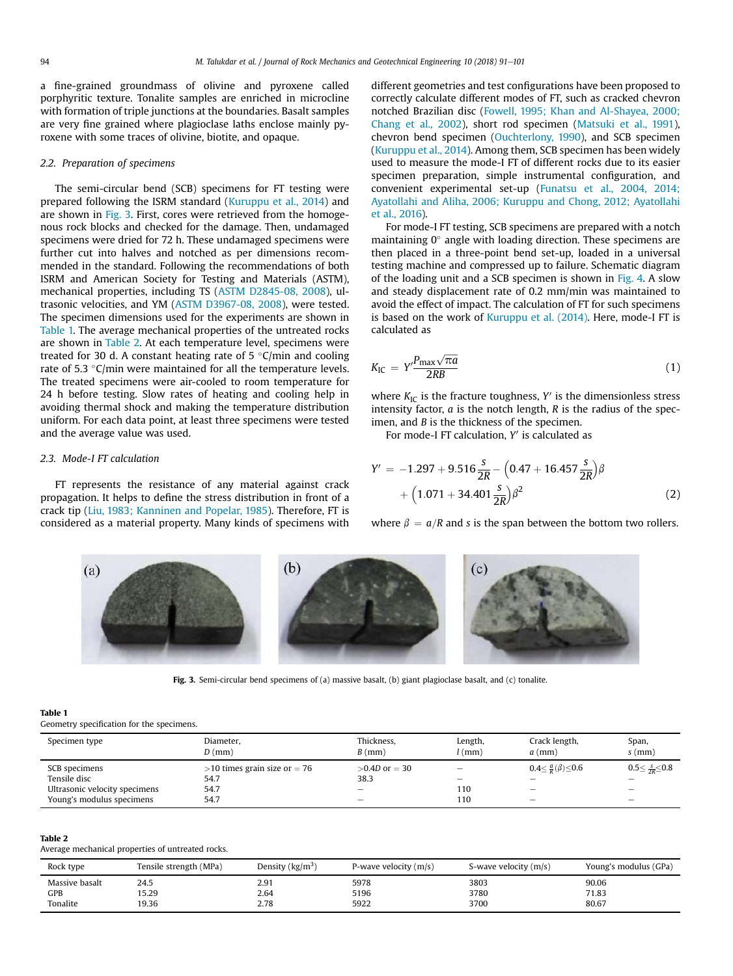a fine-grained groundmass of olivine and pyroxene called porphyritic texture. Tonalite samples are enriched in microcline with formation of triple junctions at the boundaries. Basalt samples are very fine grained where plagioclase laths enclose mainly pyroxene with some traces of olivine, biotite, and opaque.

#### *2.2. Preparation of specimens*

The semi-circular bend (SCB) specimens for FT testing were prepared following the ISRM standard (Kuruppu et al., 2014) and are shown in Fig. 3. First, cores were retrieved from the homogenous rock blocks and checked for the damage. Then, undamaged specimens were dried for 72 h. These undamaged specimens were further cut into halves and notched as per dimensions recommended in the standard. Following the recommendations of both ISRM and American Society for Testing and Materials (ASTM), mechanical properties, including TS (ASTM D2845-08, 2008), ultrasonic velocities, and YM (ASTM D3967-08, 2008), were tested. The specimen dimensions used for the experiments are shown in Table 1. The average mechanical properties of the untreated rocks are shown in Table 2. At each temperature level, specimens were treated for 30 d. A constant heating rate of  $5^{\circ}$ C/min and cooling rate of 5.3  $\degree$ C/min were maintained for all the temperature levels. The treated specimens were air-cooled to room temperature for 24 h before testing. Slow rates of heating and cooling help in avoiding thermal shock and making the temperature distribution uniform. For each data point, at least three specimens were tested and the average value was used.

#### *2.3. Mode-I FT calculation*

FT represents the resistance of any material against crack propagation. It helps to define the stress distribution in front of a crack tip (Liu, 1983; Kanninen and Popelar, 1985). Therefore, FT is considered as a material property. Many kinds of specimens with different geometries and test configurations have been proposed to correctly calculate different modes of FT, such as cracked chevron notched Brazilian disc (Fowell, 1995; Khan and Al-Shayea, 2000; Chang et al., 2002), short rod specimen (Matsuki et al., 1991), chevron bend specimen (Ouchterlony, 1990), and SCB specimen (Kuruppu et al., 2014). Among them, SCB specimen has been widely used to measure the mode-I FT of different rocks due to its easier specimen preparation, simple instrumental configuration, and convenient experimental set-up (Funatsu et al., 2004, 2014; Ayatollahi and Aliha, 2006; Kuruppu and Chong, 2012; Ayatollahi et al., 2016).

For mode-I FT testing, SCB specimens are prepared with a notch maintaining  $0^\circ$  angle with loading direction. These specimens are then placed in a three-point bend set-up, loaded in a universal testing machine and compressed up to failure. Schematic diagram of the loading unit and a SCB specimen is shown in Fig. 4. A slow and steady displacement rate of 0.2 mm/min was maintained to avoid the effect of impact. The calculation of FT for such specimens is based on the work of Kuruppu et al. (2014). Here, mode-I FT is calculated as

$$
K_{\rm IC} = Y' \frac{P_{\rm max} \sqrt{\pi a}}{2RB} \tag{1}
$$

where  $K_{\text{IC}}$  is the fracture toughness, Y' is the dimensionless stress intensity factor, *a* is the notch length, *R* is the radius of the specimen, and *B* is the thickness of the specimen.

For mode-I FT calculation, Y' is calculated as

$$
Y' = -1.297 + 9.516 \frac{s}{2R} - \left(0.47 + 16.457 \frac{s}{2R}\right) \beta + \left(1.071 + 34.401 \frac{s}{2R}\right) \beta^2
$$
\n(2)

where  $\beta = a/R$  and *s* is the span between the bottom two rollers.



Fig. 3. Semi-circular bend specimens of (a) massive basalt, (b) giant plagioclase basalt, and (c) tonalite.

### Table 1

Geometry specification for the specimens.

| Specimen type                 | Diameter,<br>$D$ (mm)             | Thickness,<br>$B$ (mm)   | Length,<br>l (mm)        | Crack length,<br>$a$ (mm)              | Span,<br>$s$ (mm)                |
|-------------------------------|-----------------------------------|--------------------------|--------------------------|----------------------------------------|----------------------------------|
| SCB specimens                 | $>$ 10 times grain size or $=$ 76 | $>0.4D$ or = 30          | -                        | $0.4 \leq \frac{a}{R}(\beta) \leq 0.6$ | $0.5 \leq \frac{S}{2R} \leq 0.8$ |
| Tensile disc                  | 54.7                              | 38.3                     | $\overline{\phantom{a}}$ |                                        |                                  |
| Ultrasonic velocity specimens | 54.7                              | $\overline{\phantom{a}}$ | 110                      | -                                      | -                                |
| Young's modulus specimens     | 54.7                              | $\overline{\phantom{a}}$ | 110                      | -                                      | -                                |

#### Table 2

Average mechanical properties of untreated rocks.

| Rock type      | Tensile strength (MPa) | Density $(kg/m3)$ | P-wave velocity $(m/s)$ | S-wave velocity (m/s) | Young's modulus (GPa) |
|----------------|------------------------|-------------------|-------------------------|-----------------------|-----------------------|
| Massive basalt | 24.5                   | 2.91              | 5978                    | 3803                  | 90.06                 |
| GPB            | 15.29                  | 2.64              | 5196                    | 3780                  | 71.83                 |
| Tonalite       | 19.36                  | 2.78              | 5922                    | 3700                  | 80.67                 |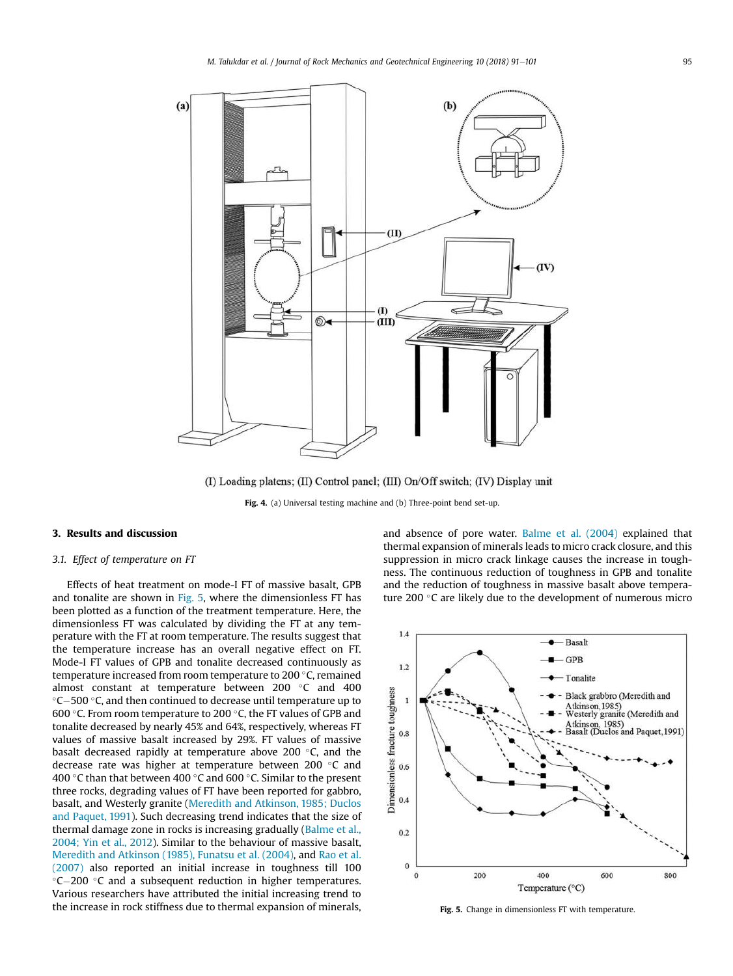

(I) Loading platens; (II) Control panel; (III) On/Off switch; (IV) Display unit

Fig. 4. (a) Universal testing machine and (b) Three-point bend set-up.

## 3. Results and discussion

## *3.1. Effect of temperature on FT*

Effects of heat treatment on mode-I FT of massive basalt, GPB and tonalite are shown in Fig. 5, where the dimensionless FT has been plotted as a function of the treatment temperature. Here, the dimensionless FT was calculated by dividing the FT at any temperature with the FT at room temperature. The results suggest that the temperature increase has an overall negative effect on FT. Mode-I FT values of GPB and tonalite decreased continuously as temperature increased from room temperature to 200 °C, remained almost constant at temperature between  $200$  °C and  $400$  $\degree$ C-500  $\degree$ C, and then continued to decrease until temperature up to 600 °C. From room temperature to 200 °C, the FT values of GPB and tonalite decreased by nearly 45% and 64%, respectively, whereas FT values of massive basalt increased by 29%. FT values of massive basalt decreased rapidly at temperature above 200 $\degree$ C, and the decrease rate was higher at temperature between 200  $\degree$ C and 400 °C than that between 400 °C and 600 °C. Similar to the present three rocks, degrading values of FT have been reported for gabbro, basalt, and Westerly granite (Meredith and Atkinson, 1985; Duclos and Paquet, 1991). Such decreasing trend indicates that the size of thermal damage zone in rocks is increasing gradually (Balme et al., 2004; Yin et al., 2012). Similar to the behaviour of massive basalt, Meredith and Atkinson (1985), Funatsu et al. (2004), and Rao et al. (2007) also reported an initial increase in toughness till 100  $°C - 200$   $°C$  and a subsequent reduction in higher temperatures. Various researchers have attributed the initial increasing trend to the increase in rock stiffness due to thermal expansion of minerals, and absence of pore water. Balme et al. (2004) explained that thermal expansion of minerals leads to micro crack closure, and this suppression in micro crack linkage causes the increase in toughness. The continuous reduction of toughness in GPB and tonalite and the reduction of toughness in massive basalt above temperature 200 $\degree$ C are likely due to the development of numerous micro



Fig. 5. Change in dimensionless FT with temperature.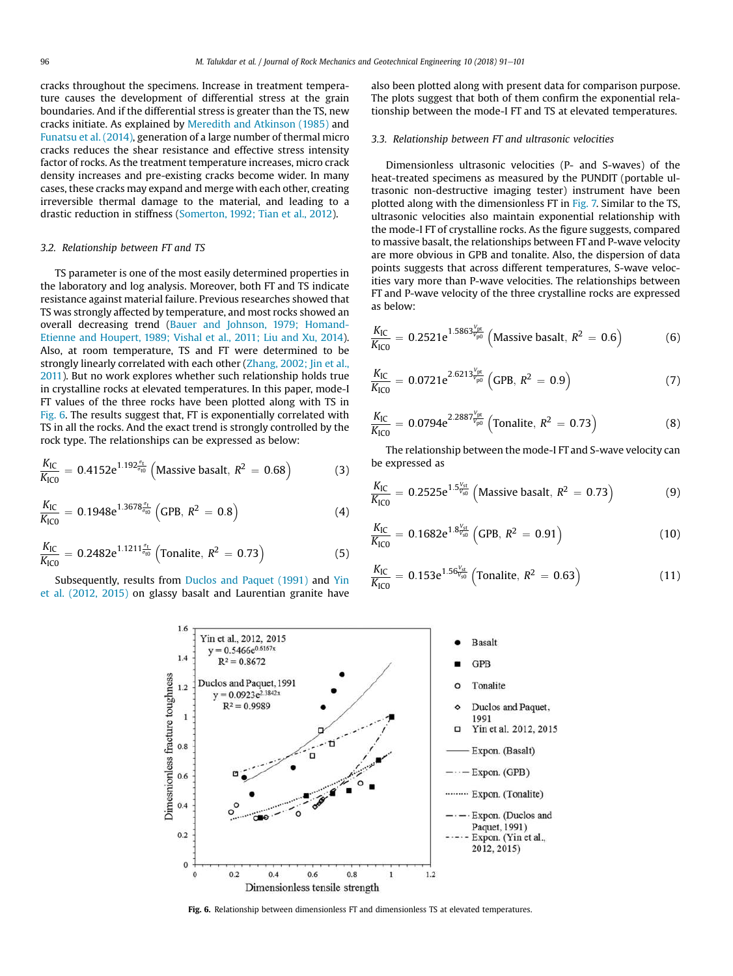cracks throughout the specimens. Increase in treatment temperature causes the development of differential stress at the grain boundaries. And if the differential stress is greater than the TS, new cracks initiate. As explained by Meredith and Atkinson (1985) and Funatsu et al. (2014), generation of a large number of thermal micro cracks reduces the shear resistance and effective stress intensity factor of rocks. As the treatment temperature increases, micro crack density increases and pre-existing cracks become wider. In many cases, these cracks may expand and merge with each other, creating irreversible thermal damage to the material, and leading to a drastic reduction in stiffness (Somerton, 1992; Tian et al., 2012).

## *3.2. Relationship between FT and TS*

TS parameter is one of the most easily determined properties in the laboratory and log analysis. Moreover, both FT and TS indicate resistance against material failure. Previous researches showed that TS was strongly affected by temperature, and most rocks showed an overall decreasing trend (Bauer and Johnson, 1979; Homand-Etienne and Houpert, 1989; Vishal et al., 2011; Liu and Xu, 2014). Also, at room temperature, TS and FT were determined to be strongly linearly correlated with each other (Zhang, 2002; Jin et al., 2011). But no work explores whether such relationship holds true in crystalline rocks at elevated temperatures. In this paper, mode-I FT values of the three rocks have been plotted along with TS in Fig. 6. The results suggest that, FT is exponentially correlated with TS in all the rocks. And the exact trend is strongly controlled by the rock type. The relationships can be expressed as below:

$$
\frac{K_{\rm IC}}{K_{\rm IC0}} = 0.4152 e^{1.192 \frac{\sigma_{\rm t}}{\sigma_{\rm t0}}} \left( \text{Massive basalt}, R^2 = 0.68 \right) \tag{3}
$$

$$
\frac{K_{\rm IC}}{K_{\rm IC0}} = 0.1948 e^{1.3678 \frac{a_{\rm t}}{\sigma_{\rm t0}}} \left( \text{GPB}, R^2 = 0.8 \right) \tag{4}
$$

$$
\frac{K_{\rm IC}}{K_{\rm IC0}} = 0.2482 e^{1.1211 \frac{\sigma_{\rm t}}{\sigma_{\rm t0}}} \left( \text{Tonalite}, R^2 = 0.73 \right) \tag{5}
$$

Subsequently, results from Duclos and Paquet (1991) and Yin et al. (2012, 2015) on glassy basalt and Laurentian granite have

also been plotted along with present data for comparison purpose. The plots suggest that both of them confirm the exponential relationship between the mode-I FT and TS at elevated temperatures.

#### *3.3. Relationship between FT and ultrasonic velocities*

Dimensionless ultrasonic velocities (P- and S-waves) of the heat-treated specimens as measured by the PUNDIT (portable ultrasonic non-destructive imaging tester) instrument have been plotted along with the dimensionless FT in Fig. 7. Similar to the TS, ultrasonic velocities also maintain exponential relationship with the mode-I FT of crystalline rocks. As the figure suggests, compared to massive basalt, the relationships between FT and P-wave velocity are more obvious in GPB and tonalite. Also, the dispersion of data points suggests that across different temperatures, S-wave velocities vary more than P-wave velocities. The relationships between FT and P-wave velocity of the three crystalline rocks are expressed as below:

$$
\frac{K_{\rm IC}}{K_{\rm IC0}} = 0.2521 e^{1.5863 \frac{V_{\rm pt}}{V_{\rm p0}}} \left( \text{Massive basalt}, R^2 = 0.6 \right) \tag{6}
$$

$$
\frac{K_{\rm IC}}{K_{\rm IC0}} = 0.0721 e^{2.6213 \frac{V_{\rm pt}}{V_{\rm p0}}} \left( \text{GPB}, \, R^2 = 0.9 \right) \tag{7}
$$

$$
\frac{K_{IC}}{K_{IC0}} = 0.0794e^{2.2887\frac{V_{p0}}{V_{p0}}} \left( \text{Tonalite}, \, R^2 = 0.73 \right) \tag{8}
$$

The relationship between the mode-I FT and S-wave velocity can be expressed as

$$
\frac{K_{\rm IC}}{K_{\rm IC0}} = 0.2525 e^{1.5 \frac{V_{\rm st}}{V_{\rm s0}}} \left( \text{Massive basalt, } R^2 = 0.73 \right) \tag{9}
$$

$$
\frac{K_{\rm IC}}{K_{\rm IC0}} = 0.1682 e^{1.8 \frac{V_{\rm st}}{V_{\rm s0}}} \left( \text{GPB}, \, R^2 = 0.91 \right) \tag{10}
$$

$$
\frac{K_{\rm IC}}{K_{\rm IC0}} = 0.153 e^{1.56 \frac{V_{\rm st}}{V_{\rm s0}}} \left( \text{Tonalite}, \, R^2 = 0.63 \right) \tag{11}
$$



Fig. 6. Relationship between dimensionless FT and dimensionless TS at elevated temperatures.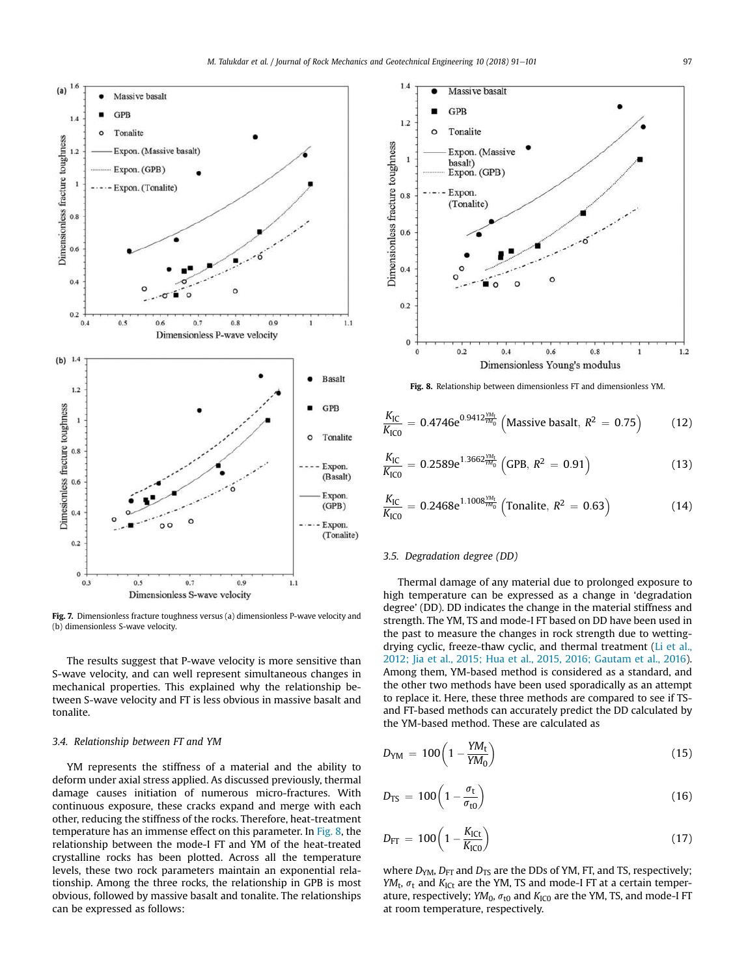

Fig. 7. Dimensionless fracture toughness versus (a) dimensionless P-wave velocity and (b) dimensionless S-wave velocity.

The results suggest that P-wave velocity is more sensitive than S-wave velocity, and can well represent simultaneous changes in mechanical properties. This explained why the relationship between S-wave velocity and FT is less obvious in massive basalt and tonalite.

#### *3.4. Relationship between FT and YM*

YM represents the stiffness of a material and the ability to deform under axial stress applied. As discussed previously, thermal damage causes initiation of numerous micro-fractures. With continuous exposure, these cracks expand and merge with each other, reducing the stiffness of the rocks. Therefore, heat-treatment temperature has an immense effect on this parameter. In Fig. 8, the relationship between the mode-I FT and YM of the heat-treated crystalline rocks has been plotted. Across all the temperature levels, these two rock parameters maintain an exponential relationship. Among the three rocks, the relationship in GPB is most obvious, followed by massive basalt and tonalite. The relationships can be expressed as follows:



Fig. 8. Relationship between dimensionless FT and dimensionless YM.

$$
\frac{K_{\rm IC}}{K_{\rm IC0}} = 0.4746e^{0.9412\frac{VM_t}{VM_0}} \left( \text{Massive basalt, } R^2 = 0.75 \right) \tag{12}
$$

$$
\frac{K_{\rm IC}}{K_{\rm IC0}} = 0.2589 e^{1.3662 \frac{YM_t}{YM_0}} \left( GPB, R^2 = 0.91 \right)
$$
 (13)

$$
\frac{K_{\rm IC}}{K_{\rm IC0}} = 0.2468 e^{1.1008_{\rm YM_0}^{\rm YM}} \left( \text{Tonalite}, \, R^2 \, = \, 0.63 \right) \tag{14}
$$

### *3.5. Degradation degree (DD)*

Thermal damage of any material due to prolonged exposure to high temperature can be expressed as a change in 'degradation degree' (DD). DD indicates the change in the material stiffness and strength. The YM, TS and mode-I FT based on DD have been used in the past to measure the changes in rock strength due to wettingdrying cyclic, freeze-thaw cyclic, and thermal treatment (Li et al., 2012; Jia et al., 2015; Hua et al., 2015, 2016; Gautam et al., 2016). Among them, YM-based method is considered as a standard, and the other two methods have been used sporadically as an attempt to replace it. Here, these three methods are compared to see if TSand FT-based methods can accurately predict the DD calculated by the YM-based method. These are calculated as

$$
D_{YM} = 100 \left( 1 - \frac{YM_t}{YM_0} \right) \tag{15}
$$

$$
D_{\rm TS} = 100 \left( 1 - \frac{\sigma_{\rm t}}{\sigma_{\rm t0}} \right) \tag{16}
$$

$$
D_{\text{FT}} = 100 \left( 1 - \frac{K_{\text{ICt}}}{K_{\text{IC0}}} \right) \tag{17}
$$

where  $D_{YM}$ ,  $D_{FT}$  and  $D_{TS}$  are the DDs of YM, FT, and TS, respectively; *YM*<sub>t</sub>,  $\sigma_t$  and *K*<sub>ICt</sub> are the YM, TS and mode-I FT at a certain temperature, respectively; *YM*<sub>0</sub>,  $\sigma_{\text{t0}}$  and *K*<sub>IC0</sub> are the YM, TS, and mode-I FT at room temperature, respectively.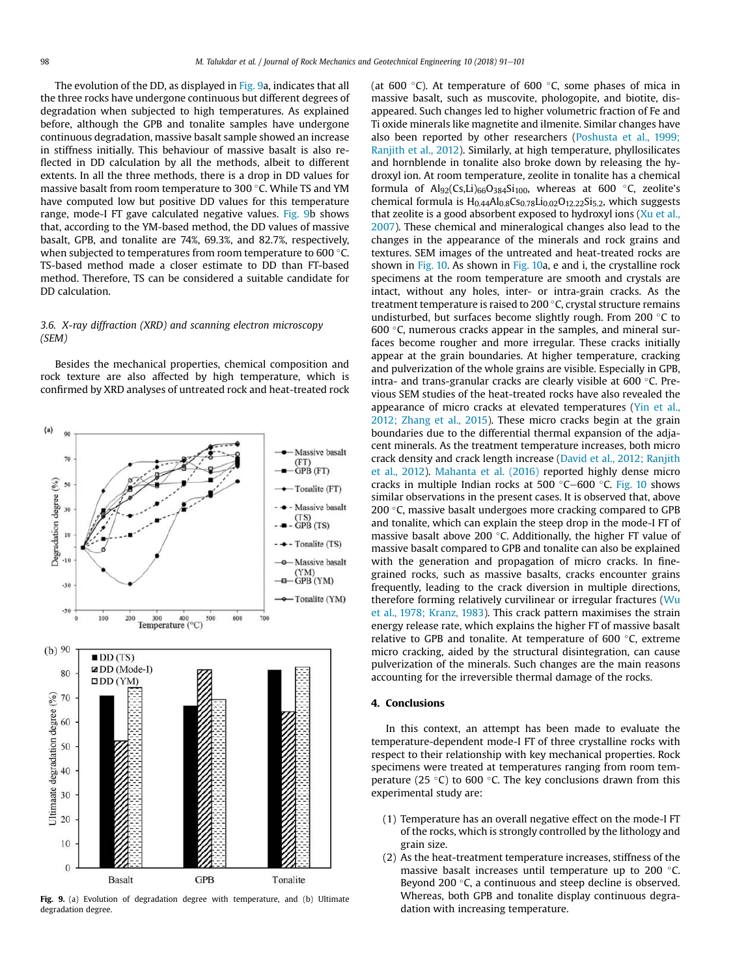The evolution of the DD, as displayed in Fig. 9a, indicates that all the three rocks have undergone continuous but different degrees of degradation when subjected to high temperatures. As explained before, although the GPB and tonalite samples have undergone continuous degradation, massive basalt sample showed an increase in stiffness initially. This behaviour of massive basalt is also reflected in DD calculation by all the methods, albeit to different extents. In all the three methods, there is a drop in DD values for massive basalt from room temperature to 300 °C. While TS and YM have computed low but positive DD values for this temperature range, mode-I FT gave calculated negative values. Fig. 9b shows that, according to the YM-based method, the DD values of massive basalt, GPB, and tonalite are 74%, 69.3%, and 82.7%, respectively, when subjected to temperatures from room temperature to 600 °C. TS-based method made a closer estimate to DD than FT-based method. Therefore, TS can be considered a suitable candidate for DD calculation.

## *3.6. X-ray diffraction (XRD) and scanning electron microscopy (SEM)*

Besides the mechanical properties, chemical composition and rock texture are also affected by high temperature, which is confirmed by XRD analyses of untreated rock and heat-treated rock



Fig. 9. (a) Evolution of degradation degree with temperature, and (b) Ultimate degradation degree.

(at 600 °C). At temperature of 600 °C, some phases of mica in massive basalt, such as muscovite, phologopite, and biotite, disappeared. Such changes led to higher volumetric fraction of Fe and Ti oxide minerals like magnetite and ilmenite. Similar changes have also been reported by other researchers (Poshusta et al., 1999; Ranjith et al., 2012). Similarly, at high temperature, phyllosilicates and hornblende in tonalite also broke down by releasing the hydroxyl ion. At room temperature, zeolite in tonalite has a chemical formula of  $\text{Alg}_2(\text{Cs},\text{Li})_{66}\text{O}_{384}\text{Si}_{100}$ , whereas at 600 °C, zeolite's chemical formula is  $H<sub>0.44</sub>Al<sub>0.8</sub>Cs<sub>0.78</sub>Li<sub>0.02</sub>O<sub>12.22</sub>Si<sub>5.2</sub>$ , which suggests that zeolite is a good absorbent exposed to hydroxyl ions (Xu et al., 2007). These chemical and mineralogical changes also lead to the changes in the appearance of the minerals and rock grains and textures. SEM images of the untreated and heat-treated rocks are shown in Fig. 10. As shown in Fig. 10a, e and i, the crystalline rock specimens at the room temperature are smooth and crystals are intact, without any holes, inter- or intra-grain cracks. As the treatment temperature is raised to  $200$  °C, crystal structure remains undisturbed, but surfaces become slightly rough. From 200  $\degree$ C to 600 $\degree$ C, numerous cracks appear in the samples, and mineral surfaces become rougher and more irregular. These cracks initially appear at the grain boundaries. At higher temperature, cracking and pulverization of the whole grains are visible. Especially in GPB, intra- and trans-granular cracks are clearly visible at 600 °C. Previous SEM studies of the heat-treated rocks have also revealed the appearance of micro cracks at elevated temperatures (Yin et al., 2012; Zhang et al., 2015). These micro cracks begin at the grain boundaries due to the differential thermal expansion of the adjacent minerals. As the treatment temperature increases, both micro crack density and crack length increase (David et al., 2012; Ranjith et al., 2012). Mahanta et al. (2016) reported highly dense micro cracks in multiple Indian rocks at 500 °C–600 °C. Fig. 10 shows similar observations in the present cases. It is observed that, above 200 $\degree$ C, massive basalt undergoes more cracking compared to GPB and tonalite, which can explain the steep drop in the mode-I FT of massive basalt above 200 $\degree$ C. Additionally, the higher FT value of massive basalt compared to GPB and tonalite can also be explained with the generation and propagation of micro cracks. In finegrained rocks, such as massive basalts, cracks encounter grains frequently, leading to the crack diversion in multiple directions, therefore forming relatively curvilinear or irregular fractures (Wu et al., 1978; Kranz, 1983). This crack pattern maximises the strain energy release rate, which explains the higher FT of massive basalt relative to GPB and tonalite. At temperature of  $600^{\circ}$ C, extreme micro cracking, aided by the structural disintegration, can cause pulverization of the minerals. Such changes are the main reasons accounting for the irreversible thermal damage of the rocks.

#### 4. Conclusions

In this context, an attempt has been made to evaluate the temperature-dependent mode-I FT of three crystalline rocks with respect to their relationship with key mechanical properties. Rock specimens were treated at temperatures ranging from room temperature (25 $\degree$ C) to 600 $\degree$ C. The key conclusions drawn from this experimental study are:

- (1) Temperature has an overall negative effect on the mode-I FT of the rocks, which is strongly controlled by the lithology and grain size.
- (2) As the heat-treatment temperature increases, stiffness of the massive basalt increases until temperature up to 200 °C. Beyond 200 $\degree$ C, a continuous and steep decline is observed. Whereas, both GPB and tonalite display continuous degradation with increasing temperature.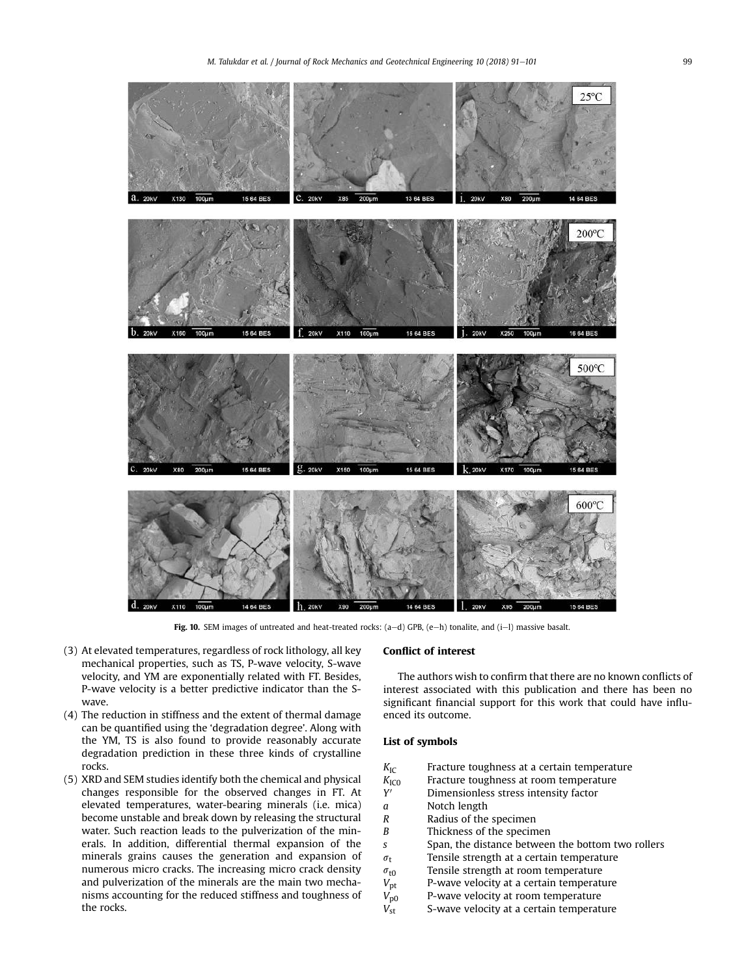

Fig. 10. SEM images of untreated and heat-treated rocks:  $(a-d)$  GPB,  $(e-h)$  tonalite, and  $(i-l)$  massive basalt.

- (3) At elevated temperatures, regardless of rock lithology, all key mechanical properties, such as TS, P-wave velocity, S-wave velocity, and YM are exponentially related with FT. Besides, P-wave velocity is a better predictive indicator than the Swave.
- (4) The reduction in stiffness and the extent of thermal damage can be quantified using the 'degradation degree'. Along with the YM, TS is also found to provide reasonably accurate degradation prediction in these three kinds of crystalline rocks.
- (5) XRD and SEM studies identify both the chemical and physical changes responsible for the observed changes in FT. At elevated temperatures, water-bearing minerals (i.e. mica) become unstable and break down by releasing the structural water. Such reaction leads to the pulverization of the minerals. In addition, differential thermal expansion of the minerals grains causes the generation and expansion of numerous micro cracks. The increasing micro crack density and pulverization of the minerals are the main two mechanisms accounting for the reduced stiffness and toughness of the rocks.

## Conflict of interest

The authors wish to confirm that there are no known conflicts of interest associated with this publication and there has been no significant financial support for this work that could have influenced its outcome.

## List of symbols

| $K_{\rm IC}$ |  | Fracture toughness at a certain temperature               |
|--------------|--|-----------------------------------------------------------|
|              |  | Pas strait terreducers it as each teachers and activities |

- *K*<sub>IC0</sub> Fracture toughness at room temperature *Y* 0 Dimensionless stress intensity factor
- *a* Notch length
- *R* Radius of the specimen
- *B* Thickness of the specimen
- *s* Span, the distance between the bottom two rollers
- $\sigma_t$  Tensile strength at a certain temperature
- 
- $\sigma_{\text{t0}}$  Tensile strength at room temperature<br> $V_{\text{pt}}$  P-wave velocity at a certain temperature P-wave velocity at a certain temperature
- *V*p0 P-wave velocity at room temperature
- *V*<sub>st</sub> S-wave velocity at a certain temperature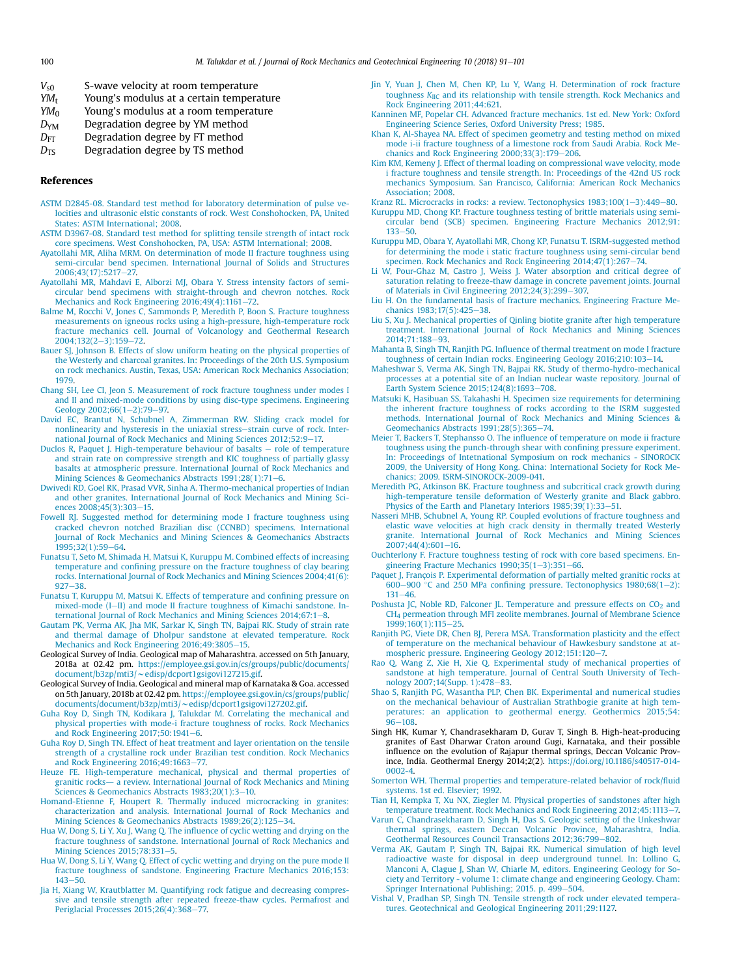- *YM*<sub>t</sub> Young's modulus at a certain temperature *YM*<sub>0</sub> *Young's modulus at a room temperature*
- Young's modulus at a room temperature
- *D*<sub>YM</sub> Degradation degree by YM method
- *D*<sub>FT</sub> Degradation degree by FT method
- *D*<sub>TS</sub> Degradation degree by TS method

#### References

- ASTM D2845-08. Standard test method for laboratory determination of pulse velocities and ultrasonic elstic constants of rock. West Conshohocken, PA, United States: ASTM International; 2008.
- ASTM D3967-08. Standard test method for splitting tensile strength of intact rock core specimens. West Conshohocken, PA, USA: ASTM International; 2008.
- Ayatollahi MR, Aliha MRM. On determination of mode II fracture toughness using semi-circular bend specimen. International Journal of Solids and Structures 2006;43(17):5217-27.
- Ayatollahi MR, Mahdavi E, Alborzi MJ, Obara Y. Stress intensity factors of semicircular bend specimens with straight-through and chevron notches. Rock Mechanics and Rock Engineering  $2016;49(4):1161-72$ .
- Balme M, Rocchi V, Jones C, Sammonds P, Meredith P, Boon S. Fracture toughness measurements on igneous rocks using a high-pressure, high-temperature rock fracture mechanics cell. Journal of Volcanology and Geothermal Research 2004;132(2-3):159-72.
- Bauer SJ, Johnson B. Effects of slow uniform heating on the physical properties of the Westerly and charcoal granites. In: Proceedings of the 20th U.S. Symposium on rock mechanics. Austin, Texas, USA: American Rock Mechanics Association; 1979.
- Chang SH, Lee CI, Jeon S. Measurement of rock fracture toughness under modes I and II and mixed-mode conditions by using disc-type specimens. Engineering Geology 2002;66(1-2):79-97.
- David EC, Brantut N, Schubnel A, Zimmerman RW. Sliding crack model for nonlinearity and hysteresis in the uniaxial stress-strain curve of rock. International Journal of Rock Mechanics and Mining Sciences 2012;52:9-17.
- Duclos R, Paquet J. High-temperature behaviour of basalts  $-$  role of temperature and strain rate on compressive strength and KIC toughness of partially glassy basalts at atmospheric pressure. International Journal of Rock Mechanics and Mining Sciences & Geomechanics Abstracts 1991;28(1):71-6.
- Dwivedi RD, Goel RK, Prasad VVR, Sinha A. Thermo-mechanical properties of Indian and other granites. International Journal of Rock Mechanics and Mining Sciences 2008;45(3):303-15.
- Fowell RJ. Suggested method for determining mode I fracture toughness using cracked chevron notched Brazilian disc (CCNBD) specimens. International Journal of Rock Mechanics and Mining Sciences & Geomechanics Abstracts  $1995;32(1):59-64.$
- Funatsu T, Seto M, Shimada H, Matsui K, Kuruppu M. Combined effects of increasing temperature and confining pressure on the fracture toughness of clay bearing rocks. International Journal of Rock Mechanics and Mining Sciences 2004;41(6):  $927 - 38$
- Funatsu T, Kuruppu M, Matsui K. Effects of temperature and confining pressure on mixed-mode (I-II) and mode II fracture toughness of Kimachi sandstone. International Journal of Rock Mechanics and Mining Sciences 2014;67:1-8.
- Gautam PK, Verma AK, Jha MK, Sarkar K, Singh TN, Bajpai RK. Study of strain rate and thermal damage of Dholpur sandstone at elevated temperature. Rock Mechanics and Rock Engineering 2016;49:3805-15.
- Geological Survey of India. Geological map of Maharashtra. accessed on 5th January, 2018a at 02.42 pm. https://employee.gsi.gov.in/cs/groups/public/documents/ document/b3zp/mti3/~edisp/dcport1gsigovi127215.gif.
- Geological Survey of India. Geological and mineral map of Karnataka & Goa. accessed on 5th January, 2018b at 02.42 pm. https://employee.gsi.gov.in/cs/groups/public/
- documents/document/b3zp/mti3/~edisp/dcport1gsigovi127202.gif.<br>Guha Roy D, Singh TN, Kodikara J, Talukdar M. Correlating the mechanical and physical properties with mode-i fracture toughness of rocks. Rock Mechanics and Rock Engineering  $2017;50:1941-6$ .
- Guha Roy D, Singh TN. Effect of heat treatment and layer orientation on the tensile strength of a crystalline rock under Brazilian test condition. Rock Mechanics and Rock Engineering  $2016;49:1663-77$ .
- Heuze FE. High-temperature mechanical, physical and thermal properties of granitic rocks- a review. International Journal of Rock Mechanics and Mining Sciences & Geomechanics Abstracts 1983;20(1):3-10.
- Homand-Etienne F, Houpert R. Thermally induced microcracking in granites: characterization and analysis. International Journal of Rock Mechanics and Mining Sciences & Geomechanics Abstracts 1989:26(2):125-34.
- Hua W, Dong S, Li Y, Xu J, Wang Q. The influence of cyclic wetting and drying on the fracture toughness of sandstone. International Journal of Rock Mechanics and Mining Sciences 2015;78:331-5.
- Hua W, Dong S, Li Y, Wang Q. Effect of cyclic wetting and drying on the pure mode II fracture toughness of sandstone. Engineering Fracture Mechanics 2016;153:  $143 - 50.$
- Jia H, Xiang W, Krautblatter M. Quantifying rock fatigue and decreasing compressive and tensile strength after repeated freeze-thaw cycles. Permafrost and Periglacial Processes 2015;26(4):368-77.
- Jin Y, Yuan J, Chen M, Chen KP, Lu Y, Wang H. Determination of rock fracture toughness *K*IIC and its relationship with tensile strength. Rock Mechanics and Rock Engineering 2011;44:621.
- Kanninen MF, Popelar CH. Advanced fracture mechanics. 1st ed. New York: Oxford Engineering Science Series, Oxford University Press; 1985.
- Khan K, Al-Shayea NA. Effect of specimen geometry and testing method on mixed mode i-ii fracture toughness of a limestone rock from Saudi Arabia. Rock Mechanics and Rock Engineering  $2000;33(3):179-206$ .
- Kim KM, Kemeny J. Effect of thermal loading on compressional wave velocity, mode i fracture toughness and tensile strength. In: Proceedings of the 42nd US rock mechanics Symposium. San Francisco, California: American Rock Mechanics Association; 2008.

Kranz RL. Microcracks in rocks: a review. Tectonophysics  $1983;100(1-3):449-80$ .

- Kuruppu MD, Chong KP. Fracture toughness testing of brittle materials using semicircular bend (SCB) specimen. Engineering Fracture Mechanics 2012;91:  $133 - 50.$
- Kuruppu MD, Obara Y, Ayatollahi MR, Chong KP, Funatsu T. ISRM-suggested method for determining the mode i static fracture toughness using semi-circular bend specimen. Rock Mechanics and Rock Engineering 2014;47(1):267-74.
- Li W, Pour-Ghaz M, Castro J, Weiss J. Water absorption and critical degree of saturation relating to freeze-thaw damage in concrete pavement joints. Journal of Materials in Civil Engineering 2012;24(3):299-307.
- Liu H. On the fundamental basis of fracture mechanics. Engineering Fracture Mechanics 1983;17(5):425-38.
- Liu S, Xu J. Mechanical properties of Qinling biotite granite after high temperature treatment. International Journal of Rock Mechanics and Mining Sciences 2014:71:188-93.
- Mahanta B, Singh TN, Ranjith PG. Influence of thermal treatment on mode I fracture toughness of certain Indian rocks. Engineering Geology 2016;210:103-14.
- Maheshwar S, Verma AK, Singh TN, Bajpai RK. Study of thermo-hydro-mechanical processes at a potential site of an Indian nuclear waste repository. Journal of Earth System Science 2015;124(8):1693-708.
- Matsuki K, Hasibuan SS, Takahashi H. Specimen size requirements for determining the inherent fracture toughness of rocks according to the ISRM suggested methods. International Journal of Rock Mechanics and Mining Sciences & Geomechanics Abstracts 1991;28(5):365-74.
- Meier T, Backers T, Stephansso O. The influence of temperature on mode ii fracture toughness using the punch-through shear with confining pressure experiment. In: Proceedings of Intetnational Symposium on rock mechanics - SINOROCK 2009, the University of Hong Kong. China: International Society for Rock Mechanics; 2009. ISRM-SINOROCK-2009-041.
- Meredith PG, Atkinson BK. Fracture toughness and subcritical crack growth during high-temperature tensile deformation of Westerly granite and Black gabbro. Physics of the Earth and Planetary Interiors 1985;39(1):33-51.
- Nasseri MHB, Schubnel A, Young RP. Coupled evolutions of fracture toughness and elastic wave velocities at high crack density in thermally treated Westerly granite. International Journal of Rock Mechanics and Mining Sciences  $2007;44(4):601-16.$
- Ouchterlony F. Fracture toughness testing of rock with core based specimens. Engineering Fracture Mechanics  $1990;35(1-3):351-66$
- Paquet J, François P. Experimental deformation of partially melted granitic rocks at 600-900  $\degree$ C and 250 MPa confining pressure. Tectonophysics 1980;68(1-2):  $131 - 46$
- Poshusta JC, Noble RD, Falconer JL. Temperature and pressure effects on CO<sub>2</sub> and CH<sup>4</sup> permeation through MFI zeolite membranes. Journal of Membrane Science 1999;160(1):115-25.
- Ranjith PG, Viete DR, Chen BJ, Perera MSA. Transformation plasticity and the effect of temperature on the mechanical behaviour of Hawkesbury sandstone at atmospheric pressure. Engineering Geology 2012;151:120-7.
- Rao Q, Wang Z, Xie H, Xie Q. Experimental study of mechanical properties of sandstone at high temperature. Journal of Central South University of Technology 2007;14(Supp. 1):478-83.
- Shao S, Ranjith PG, Wasantha PLP, Chen BK. Experimental and numerical studies on the mechanical behaviour of Australian Strathbogie granite at high temperatures: an application to geothermal energy. Geothermics 2015;54:  $96 - 108$
- Singh HK, Kumar Y, Chandrasekharam D, Gurav T, Singh B. High-heat-producing granites of East Dharwar Craton around Gugi, Karnataka, and their possible influence on the evolution of Rajapur thermal springs, Deccan Volcanic Province, India. Geothermal Energy 2014;2(2). https://doi.org/10.1186/s40517-014- 0002-4.
- Somerton WH. Thermal properties and temperature-related behavior of rock/fluid systems. 1st ed. Elsevier; 1992.
- Tian H, Kempka T, Xu NX, Ziegler M. Physical properties of sandstones after high temperature treatment. Rock Mechanics and Rock Engineering 2012;45:1113-7.
- Varun C, Chandrasekharam D, Singh H, Das S. Geologic setting of the Unkeshwar thermal springs, eastern Deccan Volcanic Province, Maharashtra, India. Geothermal Resources Council Transactions 2012;36:799-802.
- Verma AK, Gautam P, Singh TN, Bajpai RK. Numerical simulation of high level radioactive waste for disposal in deep underground tunnel. In: Lollino G, Manconi A, Clague J, Shan W, Chiarle M, editors. Engineering Geology for Society and Territory - volume 1: climate change and engineering Geology. Cham: Springer International Publishing; 2015. p. 499-504.
- Vishal V, Pradhan SP, Singh TN. Tensile strength of rock under elevated temperatures. Geotechnical and Geological Engineering 2011;29:1127.